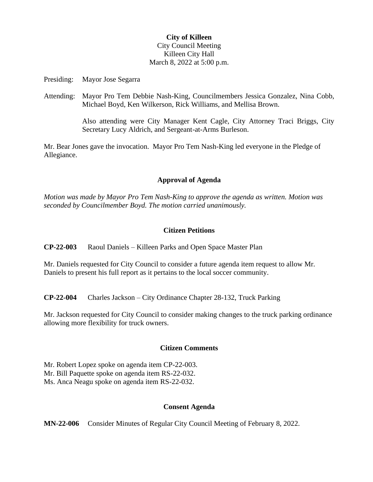## **City of Killeen** City Council Meeting Killeen City Hall March 8, 2022 at 5:00 p.m.

Presiding: Mayor Jose Segarra

Attending: Mayor Pro Tem Debbie Nash-King, Councilmembers Jessica Gonzalez, Nina Cobb, Michael Boyd, Ken Wilkerson, Rick Williams, and Mellisa Brown.

> Also attending were City Manager Kent Cagle, City Attorney Traci Briggs, City Secretary Lucy Aldrich, and Sergeant-at-Arms Burleson.

Mr. Bear Jones gave the invocation. Mayor Pro Tem Nash-King led everyone in the Pledge of Allegiance.

## **Approval of Agenda**

*Motion was made by Mayor Pro Tem Nash-King to approve the agenda as written. Motion was seconded by Councilmember Boyd. The motion carried unanimously.*

## **Citizen Petitions**

**CP-22-003** Raoul Daniels – Killeen Parks and Open Space Master Plan

Mr. Daniels requested for City Council to consider a future agenda item request to allow Mr. Daniels to present his full report as it pertains to the local soccer community.

**CP-22-004** Charles Jackson – City Ordinance Chapter 28-132, Truck Parking

Mr. Jackson requested for City Council to consider making changes to the truck parking ordinance allowing more flexibility for truck owners.

### **Citizen Comments**

Mr. Robert Lopez spoke on agenda item CP-22-003. Mr. Bill Paquette spoke on agenda item RS-22-032. Ms. Anca Neagu spoke on agenda item RS-22-032.

### **Consent Agenda**

**MN-22-006** Consider Minutes of Regular City Council Meeting of February 8, 2022.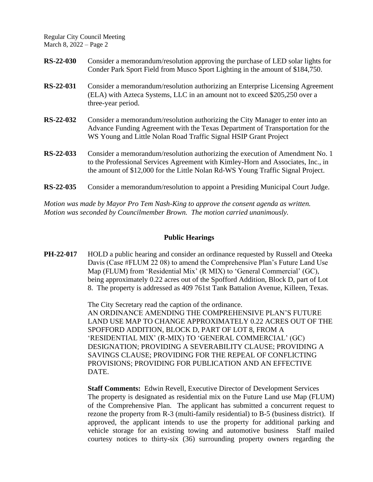| <b>RS-22-030</b> | Consider a memorandum/resolution approving the purchase of LED solar lights for<br>Conder Park Sport Field from Musco Sport Lighting in the amount of \$184,750.                                                                                     |
|------------------|------------------------------------------------------------------------------------------------------------------------------------------------------------------------------------------------------------------------------------------------------|
| RS-22-031        | Consider a memorandum/resolution authorizing an Enterprise Licensing Agreement<br>(ELA) with Azteca Systems, LLC in an amount not to exceed \$205,250 over a<br>three-year period.                                                                   |
| RS-22-032        | Consider a memorandum/resolution authorizing the City Manager to enter into an<br>Advance Funding Agreement with the Texas Department of Transportation for the<br>WS Young and Little Nolan Road Traffic Signal HSIP Grant Project                  |
| RS-22-033        | Consider a memorandum/resolution authorizing the execution of Amendment No. 1<br>to the Professional Services Agreement with Kimley-Horn and Associates, Inc., in<br>the amount of \$12,000 for the Little Nolan Rd-WS Young Traffic Signal Project. |
| RS-22-035        | Consider a memorandum/resolution to appoint a Presiding Municipal Court Judge.                                                                                                                                                                       |

*Motion was made by Mayor Pro Tem Nash-King to approve the consent agenda as written. Motion was seconded by Councilmember Brown. The motion carried unanimously.*

#### **Public Hearings**

**PH-22-017** HOLD a public hearing and consider an ordinance requested by Russell and Oteeka Davis (Case #FLUM 22 08) to amend the Comprehensive Plan's Future Land Use Map (FLUM) from 'Residential Mix' (R MIX) to 'General Commercial' (GC), being approximately 0.22 acres out of the Spofford Addition, Block D, part of Lot 8. The property is addressed as 409 761st Tank Battalion Avenue, Killeen, Texas.

> The City Secretary read the caption of the ordinance. AN ORDINANCE AMENDING THE COMPREHENSIVE PLAN'S FUTURE LAND USE MAP TO CHANGE APPROXIMATELY 0.22 ACRES OUT OF THE SPOFFORD ADDITION, BLOCK D, PART OF LOT 8, FROM A 'RESIDENTIAL MIX' (R-MIX) TO 'GENERAL COMMERCIAL' (GC) DESIGNATION; PROVIDING A SEVERABILITY CLAUSE; PROVIDING A SAVINGS CLAUSE; PROVIDING FOR THE REPEAL OF CONFLICTING PROVISIONS; PROVIDING FOR PUBLICATION AND AN EFFECTIVE DATE.

> **Staff Comments:** Edwin Revell, Executive Director of Development Services The property is designated as residential mix on the Future Land use Map (FLUM) of the Comprehensive Plan. The applicant has submitted a concurrent request to rezone the property from R-3 (multi-family residential) to B-5 (business district). If approved, the applicant intends to use the property for additional parking and vehicle storage for an existing towing and automotive business Staff mailed courtesy notices to thirty-six (36) surrounding property owners regarding the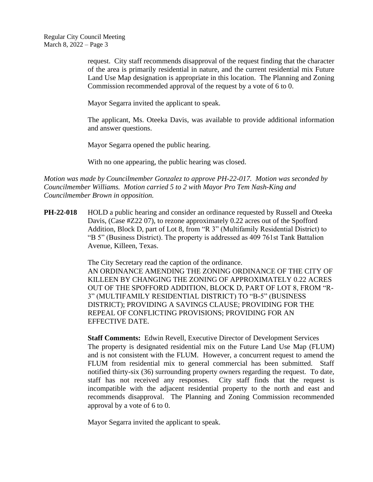request. City staff recommends disapproval of the request finding that the character of the area is primarily residential in nature, and the current residential mix Future Land Use Map designation is appropriate in this location. The Planning and Zoning Commission recommended approval of the request by a vote of 6 to 0.

Mayor Segarra invited the applicant to speak.

The applicant, Ms. Oteeka Davis, was available to provide additional information and answer questions.

Mayor Segarra opened the public hearing.

With no one appearing, the public hearing was closed.

*Motion was made by Councilmember Gonzalez to approve PH-22-017. Motion was seconded by Councilmember Williams. Motion carried 5 to 2 with Mayor Pro Tem Nash-King and Councilmember Brown in opposition.*

**PH-22-018** HOLD a public hearing and consider an ordinance requested by Russell and Oteeka Davis, (Case #Z22 07), to rezone approximately 0.22 acres out of the Spofford Addition, Block D, part of Lot 8, from "R 3" (Multifamily Residential District) to "B 5" (Business District). The property is addressed as 409 761st Tank Battalion Avenue, Killeen, Texas.

> The City Secretary read the caption of the ordinance. AN ORDINANCE AMENDING THE ZONING ORDINANCE OF THE CITY OF KILLEEN BY CHANGING THE ZONING OF APPROXIMATELY 0.22 ACRES OUT OF THE SPOFFORD ADDITION, BLOCK D, PART OF LOT 8, FROM "R-3" (MULTIFAMILY RESIDENTIAL DISTRICT) TO "B-5" (BUSINESS DISTRICT); PROVIDING A SAVINGS CLAUSE; PROVIDING FOR THE REPEAL OF CONFLICTING PROVISIONS; PROVIDING FOR AN EFFECTIVE DATE.

> **Staff Comments:** Edwin Revell, Executive Director of Development Services The property is designated residential mix on the Future Land Use Map (FLUM) and is not consistent with the FLUM. However, a concurrent request to amend the FLUM from residential mix to general commercial has been submitted. Staff notified thirty-six (36) surrounding property owners regarding the request. To date, staff has not received any responses. City staff finds that the request is incompatible with the adjacent residential property to the north and east and recommends disapproval. The Planning and Zoning Commission recommended approval by a vote of 6 to 0.

Mayor Segarra invited the applicant to speak.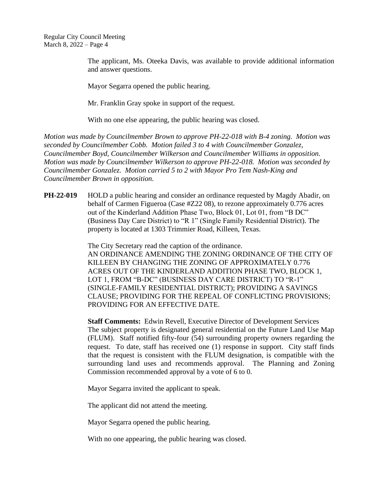> The applicant, Ms. Oteeka Davis, was available to provide additional information and answer questions.

Mayor Segarra opened the public hearing.

Mr. Franklin Gray spoke in support of the request.

With no one else appearing, the public hearing was closed.

*Motion was made by Councilmember Brown to approve PH-22-018 with B-4 zoning. Motion was seconded by Councilmember Cobb. Motion failed 3 to 4 with Councilmember Gonzalez, Councilmember Boyd, Councilmember Wilkerson and Councilmember Williams in opposition. Motion was made by Councilmember Wilkerson to approve PH-22-018. Motion was seconded by Councilmember Gonzalez. Motion carried 5 to 2 with Mayor Pro Tem Nash-King and Councilmember Brown in opposition.*

**PH-22-019** HOLD a public hearing and consider an ordinance requested by Magdy Abadir, on behalf of Carmen Figueroa (Case #Z22 08), to rezone approximately 0.776 acres out of the Kinderland Addition Phase Two, Block 01, Lot 01, from "B DC" (Business Day Care District) to "R 1" (Single Family Residential District). The property is located at 1303 Trimmier Road, Killeen, Texas.

> The City Secretary read the caption of the ordinance. AN ORDINANCE AMENDING THE ZONING ORDINANCE OF THE CITY OF KILLEEN BY CHANGING THE ZONING OF APPROXIMATELY 0.776 ACRES OUT OF THE KINDERLAND ADDITION PHASE TWO, BLOCK 1, LOT 1, FROM "B-DC" (BUSINESS DAY CARE DISTRICT) TO "R-1" (SINGLE-FAMILY RESIDENTIAL DISTRICT); PROVIDING A SAVINGS CLAUSE; PROVIDING FOR THE REPEAL OF CONFLICTING PROVISIONS; PROVIDING FOR AN EFFECTIVE DATE.

> **Staff Comments:** Edwin Revell, Executive Director of Development Services The subject property is designated general residential on the Future Land Use Map (FLUM). Staff notified fifty-four (54) surrounding property owners regarding the request. To date, staff has received one (1) response in support. City staff finds that the request is consistent with the FLUM designation, is compatible with the surrounding land uses and recommends approval. The Planning and Zoning Commission recommended approval by a vote of 6 to 0.

Mayor Segarra invited the applicant to speak.

The applicant did not attend the meeting.

Mayor Segarra opened the public hearing.

With no one appearing, the public hearing was closed.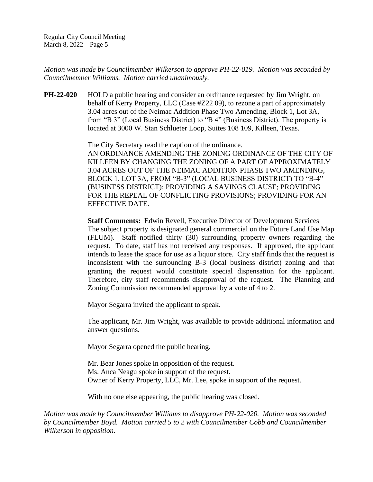*Motion was made by Councilmember Wilkerson to approve PH-22-019. Motion was seconded by Councilmember Williams. Motion carried unanimously.*

**PH-22-020** HOLD a public hearing and consider an ordinance requested by Jim Wright, on behalf of Kerry Property, LLC (Case #Z22 09), to rezone a part of approximately 3.04 acres out of the Neimac Addition Phase Two Amending, Block 1, Lot 3A, from "B 3" (Local Business District) to "B 4" (Business District). The property is located at 3000 W. Stan Schlueter Loop, Suites 108 109, Killeen, Texas.

> The City Secretary read the caption of the ordinance. AN ORDINANCE AMENDING THE ZONING ORDINANCE OF THE CITY OF KILLEEN BY CHANGING THE ZONING OF A PART OF APPROXIMATELY 3.04 ACRES OUT OF THE NEIMAC ADDITION PHASE TWO AMENDING, BLOCK 1, LOT 3A, FROM "B-3" (LOCAL BUSINESS DISTRICT) TO "B-4" (BUSINESS DISTRICT); PROVIDING A SAVINGS CLAUSE; PROVIDING FOR THE REPEAL OF CONFLICTING PROVISIONS; PROVIDING FOR AN EFFECTIVE DATE.

> **Staff Comments:** Edwin Revell, Executive Director of Development Services The subject property is designated general commercial on the Future Land Use Map (FLUM). Staff notified thirty (30) surrounding property owners regarding the request. To date, staff has not received any responses. If approved, the applicant intends to lease the space for use as a liquor store. City staff finds that the request is inconsistent with the surrounding B-3 (local business district) zoning and that granting the request would constitute special dispensation for the applicant. Therefore, city staff recommends disapproval of the request. The Planning and Zoning Commission recommended approval by a vote of 4 to 2.

Mayor Segarra invited the applicant to speak.

The applicant, Mr. Jim Wright, was available to provide additional information and answer questions.

Mayor Segarra opened the public hearing.

Mr. Bear Jones spoke in opposition of the request. Ms. Anca Neagu spoke in support of the request. Owner of Kerry Property, LLC, Mr. Lee, spoke in support of the request.

With no one else appearing, the public hearing was closed.

*Motion was made by Councilmember Williams to disapprove PH-22-020. Motion was seconded by Councilmember Boyd. Motion carried 5 to 2 with Councilmember Cobb and Councilmember Wilkerson in opposition.*